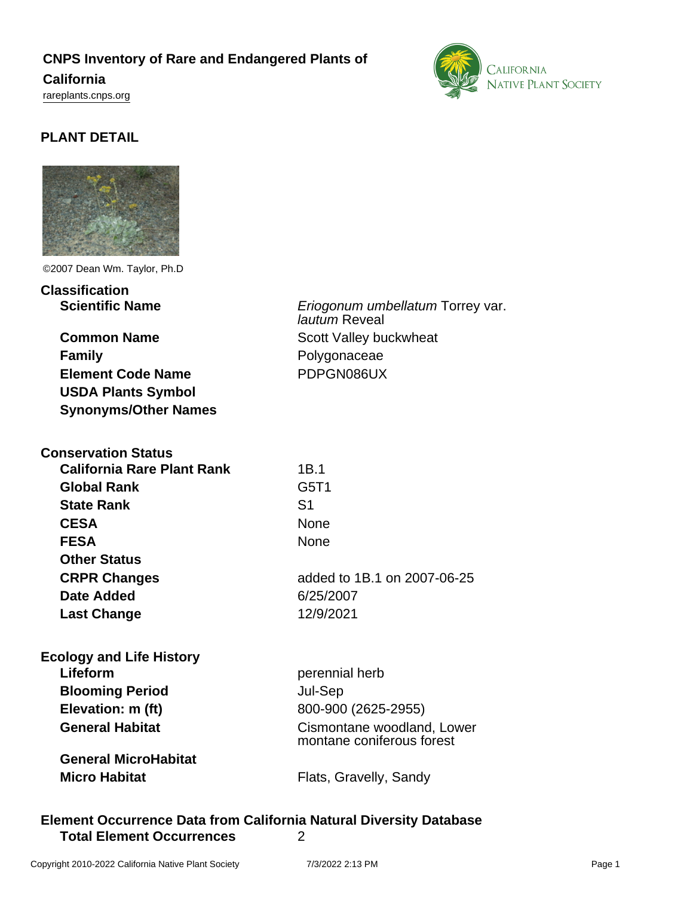# **CNPS Inventory of Rare and Endangered Plants of**

### **California**

<rareplants.cnps.org>



# **PLANT DETAIL**



©2007 Dean Wm. Taylor, Ph.D

**Classification Scientific Name** Eriogonum umbellatum Torrey var.

**Common Name** Scott Valley buckwheat **Family** Polygonaceae **Element Code Name** PDPGN086UX **USDA Plants Symbol Synonyms/Other Names**

| <b>Conservation Status</b>        |                             |
|-----------------------------------|-----------------------------|
| <b>California Rare Plant Rank</b> | 1B.1                        |
| <b>Global Rank</b>                | G5T1                        |
| <b>State Rank</b>                 | S <sub>1</sub>              |
| <b>CESA</b>                       | None                        |
| <b>FESA</b>                       | None                        |
| <b>Other Status</b>               |                             |
| <b>CRPR Changes</b>               | added to 1B.1 on 2007-06-25 |
| Date Added                        | 6/25/2007                   |
| <b>Last Change</b>                | 12/9/2021                   |
|                                   |                             |

| <b>Ecology and Life History</b> |                                                         |
|---------------------------------|---------------------------------------------------------|
| Lifeform                        | perennial herb                                          |
| <b>Blooming Period</b>          | Jul-Sep                                                 |
| Elevation: m (ft)               | 800-900 (2625-2955)                                     |
| <b>General Habitat</b>          | Cismontane woodland, Lower<br>montane coniferous forest |
| <b>General MicroHabitat</b>     |                                                         |
| <b>Micro Habitat</b>            | Flats, Gravelly, Sandy                                  |

# **Element Occurrence Data from California Natural Diversity Database Total Element Occurrences** 2

lautum Reveal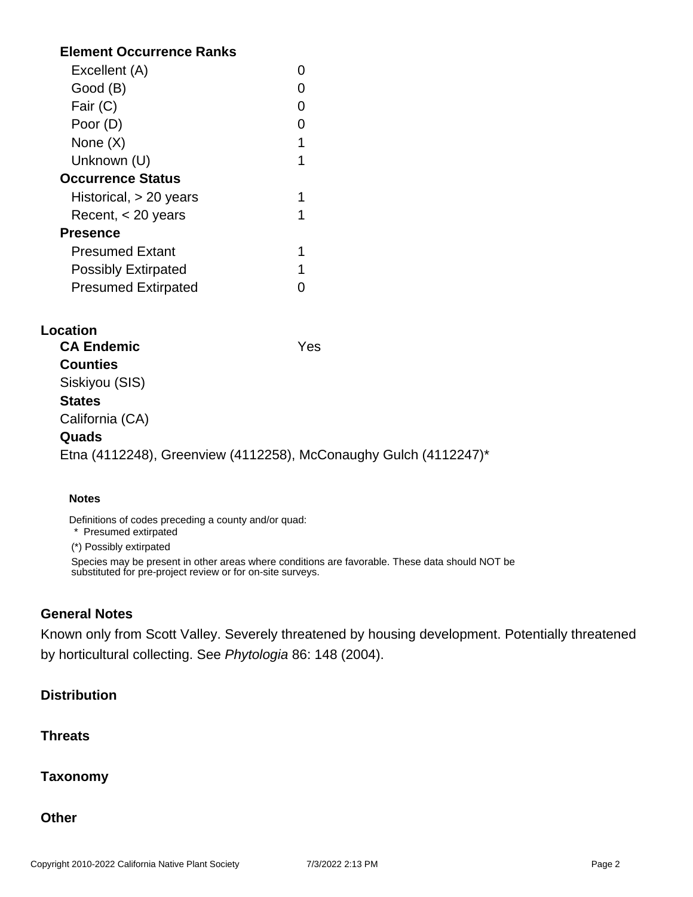# **Element Occurrence Ranks**

| Excellent (A)              |   |
|----------------------------|---|
| Good (B)                   |   |
| Fair (C)                   |   |
| Poor (D)                   |   |
| None $(X)$                 | 1 |
| Unknown (U)                |   |
| <b>Occurrence Status</b>   |   |
| Historical, $> 20$ years   |   |
| Recent, $<$ 20 years       |   |
| <b>Presence</b>            |   |
| <b>Presumed Extant</b>     |   |
| <b>Possibly Extirpated</b> | 1 |
| <b>Presumed Extirpated</b> |   |

### **Location**

**CA Endemic** Yes **Counties** Siskiyou (SIS) **States** California (CA) **Quads** Etna (4112248), Greenview (4112258), McConaughy Gulch (4112247)\*

#### **Notes**

Definitions of codes preceding a county and/or quad:

\* Presumed extirpated

(\*) Possibly extirpated

Species may be present in other areas where conditions are favorable. These data should NOT be substituted for pre-project review or for on-site surveys.

### **General Notes**

Known only from Scott Valley. Severely threatened by housing development. Potentially threatened by horticultural collecting. See Phytologia 86: 148 (2004).

# **Distribution**

# **Threats**

### **Taxonomy**

**Other**